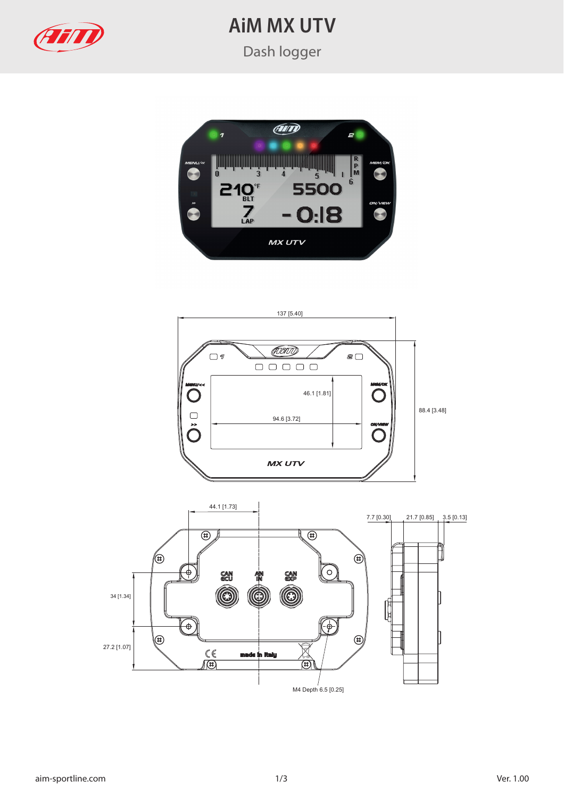

## **AiM MX UTV**

Dash logger





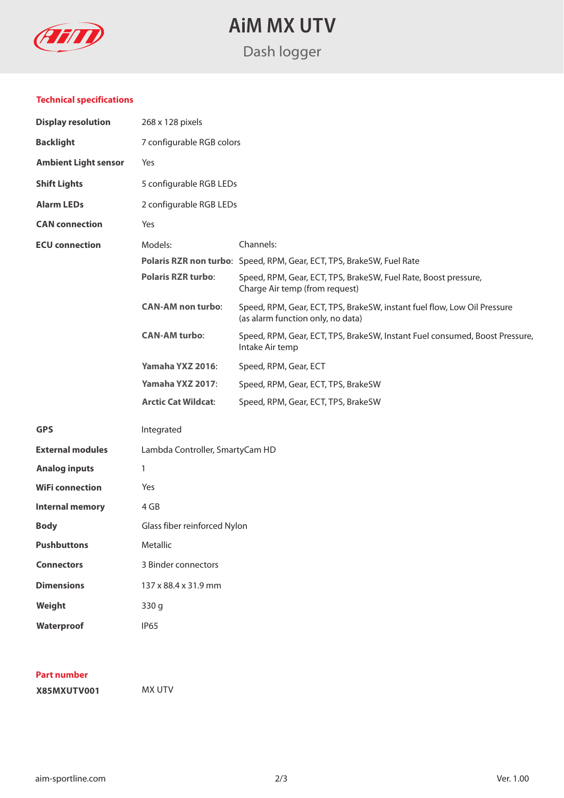

**AiM MX UTV**

## Dash logger

#### **Technical specifications**

| <b>Display resolution</b>   | 268 x 128 pixels                |                                                                                                               |
|-----------------------------|---------------------------------|---------------------------------------------------------------------------------------------------------------|
| <b>Backlight</b>            | 7 configurable RGB colors       |                                                                                                               |
| <b>Ambient Light sensor</b> | Yes                             |                                                                                                               |
| <b>Shift Lights</b>         | 5 configurable RGB LEDs         |                                                                                                               |
| <b>Alarm LEDs</b>           | 2 configurable RGB LEDs         |                                                                                                               |
| <b>CAN</b> connection       | Yes                             |                                                                                                               |
| <b>ECU</b> connection       | Models:                         | Channels:                                                                                                     |
|                             |                                 | Polaris RZR non turbo: Speed, RPM, Gear, ECT, TPS, BrakeSW, Fuel Rate                                         |
|                             | <b>Polaris RZR turbo:</b>       | Speed, RPM, Gear, ECT, TPS, BrakeSW, Fuel Rate, Boost pressure,<br>Charge Air temp (from request)             |
|                             | <b>CAN-AM</b> non turbo:        | Speed, RPM, Gear, ECT, TPS, BrakeSW, instant fuel flow, Low Oil Pressure<br>(as alarm function only, no data) |
|                             | <b>CAN-AM turbo:</b>            | Speed, RPM, Gear, ECT, TPS, BrakeSW, Instant Fuel consumed, Boost Pressure,<br>Intake Air temp                |
|                             | Yamaha YXZ 2016:                | Speed, RPM, Gear, ECT                                                                                         |
|                             | Yamaha YXZ 2017:                | Speed, RPM, Gear, ECT, TPS, BrakeSW                                                                           |
|                             | <b>Arctic Cat Wildcat:</b>      | Speed, RPM, Gear, ECT, TPS, BrakeSW                                                                           |
| <b>GPS</b>                  | Integrated                      |                                                                                                               |
| <b>External modules</b>     | Lambda Controller, SmartyCam HD |                                                                                                               |
| <b>Analog inputs</b>        | 1                               |                                                                                                               |
| <b>WiFi connection</b>      | Yes                             |                                                                                                               |
| <b>Internal memory</b>      | 4 GB                            |                                                                                                               |
| <b>Body</b>                 | Glass fiber reinforced Nylon    |                                                                                                               |
| <b>Pushbuttons</b>          | Metallic                        |                                                                                                               |
| <b>Connectors</b>           | 3 Binder connectors             |                                                                                                               |
| <b>Dimensions</b>           | 137 x 88.4 x 31.9 mm            |                                                                                                               |
| Weight                      | 330 g                           |                                                                                                               |
| Waterproof                  | <b>IP65</b>                     |                                                                                                               |

#### **Part number**

**X85MXUTV001** MX UTV